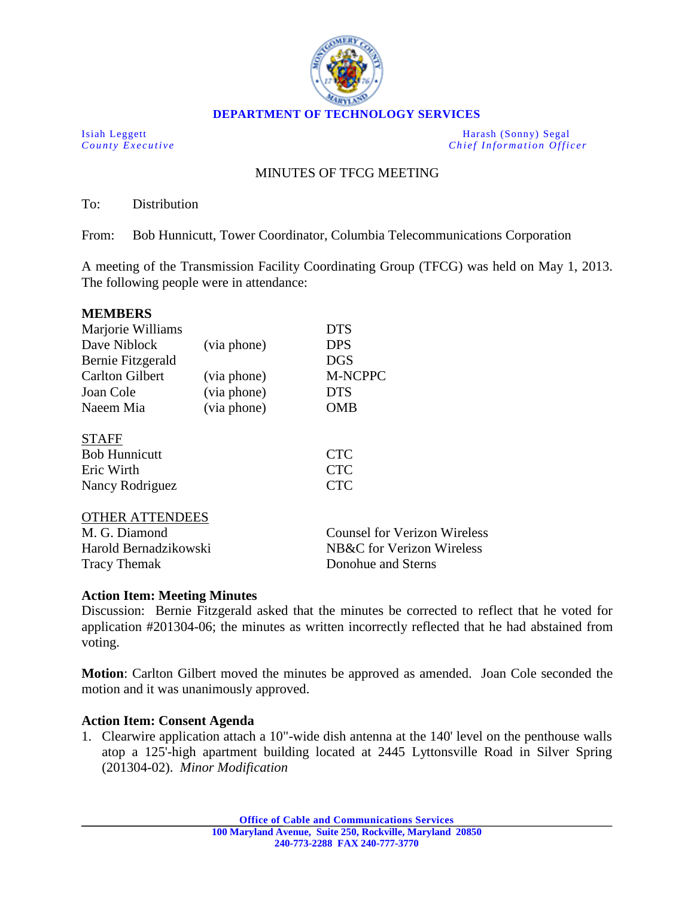

**DEPARTMENT OF TECHNOLOGY SERVICES**

Isiah Leggett Harash (Sonny) Segal<br>
County Executive Chief Information Office *Chief Information Officer* 

# MINUTES OF TFCG MEETING

To: Distribution

From: Bob Hunnicutt, Tower Coordinator, Columbia Telecommunications Corporation

A meeting of the Transmission Facility Coordinating Group (TFCG) was held on May 1, 2013. The following people were in attendance:

| <b>MEMBERS</b>         |             |                      |
|------------------------|-------------|----------------------|
| Marjorie Williams      |             | <b>DTS</b>           |
| Dave Niblock           | (via phone) | <b>DPS</b>           |
| Bernie Fitzgerald      |             | <b>DGS</b>           |
| <b>Carlton Gilbert</b> | (via phone) | M-NCPPC              |
| Joan Cole              | (via phone) | <b>DTS</b>           |
| Naeem Mia              | (via phone) | <b>OMB</b>           |
| <b>STAFF</b>           |             |                      |
| <b>Bob Hunnicutt</b>   |             | <b>CTC</b>           |
| Eric Wirth             |             | <b>CTC</b>           |
| Nancy Rodriguez        |             | $\operatorname{CTC}$ |

### OTHER ATTENDEES

| M. G. Diamond         | Counsel for Verizon Wireless |
|-----------------------|------------------------------|
| Harold Bernadzikowski | NB&C for Verizon Wireless    |
| <b>Tracy Themak</b>   | Donohue and Sterns           |

### **Action Item: Meeting Minutes**

Discussion: Bernie Fitzgerald asked that the minutes be corrected to reflect that he voted for application #201304-06; the minutes as written incorrectly reflected that he had abstained from voting.

**Motion**: Carlton Gilbert moved the minutes be approved as amended. Joan Cole seconded the motion and it was unanimously approved.

### **Action Item: Consent Agenda**

1. Clearwire application attach a 10"-wide dish antenna at the 140' level on the penthouse walls atop a 125'-high apartment building located at 2445 Lyttonsville Road in Silver Spring (201304-02). *Minor Modification*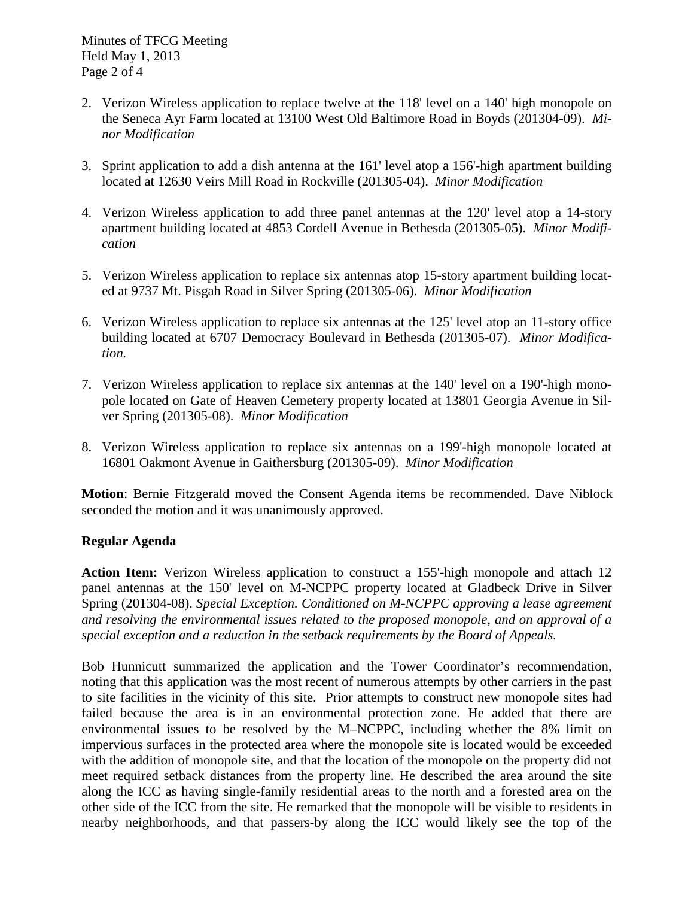Minutes of TFCG Meeting Held May 1, 2013 Page 2 of 4

- 2. Verizon Wireless application to replace twelve at the 118' level on a 140' high monopole on the Seneca Ayr Farm located at 13100 West Old Baltimore Road in Boyds (201304-09). *Minor Modification*
- 3. Sprint application to add a dish antenna at the 161' level atop a 156'-high apartment building located at 12630 Veirs Mill Road in Rockville (201305-04). *Minor Modification*
- 4. Verizon Wireless application to add three panel antennas at the 120' level atop a 14-story apartment building located at 4853 Cordell Avenue in Bethesda (201305-05). *Minor Modification*
- 5. Verizon Wireless application to replace six antennas atop 15-story apartment building located at 9737 Mt. Pisgah Road in Silver Spring (201305-06). *Minor Modification*
- 6. Verizon Wireless application to replace six antennas at the 125' level atop an 11-story office building located at 6707 Democracy Boulevard in Bethesda (201305-07). *Minor Modification.*
- 7. Verizon Wireless application to replace six antennas at the 140' level on a 190'-high monopole located on Gate of Heaven Cemetery property located at 13801 Georgia Avenue in Silver Spring (201305-08). *Minor Modification*
- 8. Verizon Wireless application to replace six antennas on a 199'-high monopole located at 16801 Oakmont Avenue in Gaithersburg (201305-09). *Minor Modification*

**Motion**: Bernie Fitzgerald moved the Consent Agenda items be recommended. Dave Niblock seconded the motion and it was unanimously approved.

# **Regular Agenda**

**Action Item:** Verizon Wireless application to construct a 155'-high monopole and attach 12 panel antennas at the 150' level on M-NCPPC property located at Gladbeck Drive in Silver Spring (201304-08). *Special Exception. Conditioned on M-NCPPC approving a lease agreement and resolving the environmental issues related to the proposed monopole, and on approval of a special exception and a reduction in the setback requirements by the Board of Appeals.* 

Bob Hunnicutt summarized the application and the Tower Coordinator's recommendation, noting that this application was the most recent of numerous attempts by other carriers in the past to site facilities in the vicinity of this site. Prior attempts to construct new monopole sites had failed because the area is in an environmental protection zone. He added that there are environmental issues to be resolved by the M–NCPPC, including whether the 8% limit on impervious surfaces in the protected area where the monopole site is located would be exceeded with the addition of monopole site, and that the location of the monopole on the property did not meet required setback distances from the property line. He described the area around the site along the ICC as having single-family residential areas to the north and a forested area on the other side of the ICC from the site. He remarked that the monopole will be visible to residents in nearby neighborhoods, and that passers-by along the ICC would likely see the top of the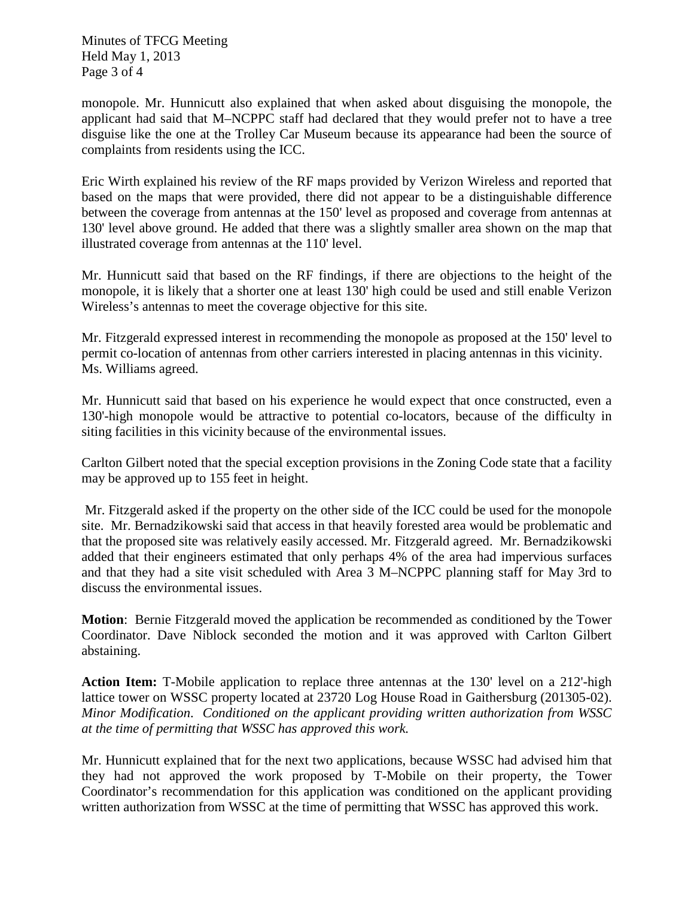Minutes of TFCG Meeting Held May 1, 2013 Page 3 of 4

monopole. Mr. Hunnicutt also explained that when asked about disguising the monopole, the applicant had said that M–NCPPC staff had declared that they would prefer not to have a tree disguise like the one at the Trolley Car Museum because its appearance had been the source of complaints from residents using the ICC.

Eric Wirth explained his review of the RF maps provided by Verizon Wireless and reported that based on the maps that were provided, there did not appear to be a distinguishable difference between the coverage from antennas at the 150' level as proposed and coverage from antennas at 130' level above ground. He added that there was a slightly smaller area shown on the map that illustrated coverage from antennas at the 110' level.

Mr. Hunnicutt said that based on the RF findings, if there are objections to the height of the monopole, it is likely that a shorter one at least 130' high could be used and still enable Verizon Wireless's antennas to meet the coverage objective for this site.

Mr. Fitzgerald expressed interest in recommending the monopole as proposed at the 150' level to permit co-location of antennas from other carriers interested in placing antennas in this vicinity. Ms. Williams agreed.

Mr. Hunnicutt said that based on his experience he would expect that once constructed, even a 130'-high monopole would be attractive to potential co-locators, because of the difficulty in siting facilities in this vicinity because of the environmental issues.

Carlton Gilbert noted that the special exception provisions in the Zoning Code state that a facility may be approved up to 155 feet in height.

Mr. Fitzgerald asked if the property on the other side of the ICC could be used for the monopole site. Mr. Bernadzikowski said that access in that heavily forested area would be problematic and that the proposed site was relatively easily accessed. Mr. Fitzgerald agreed. Mr. Bernadzikowski added that their engineers estimated that only perhaps 4% of the area had impervious surfaces and that they had a site visit scheduled with Area 3 M–NCPPC planning staff for May 3rd to discuss the environmental issues.

**Motion**: Bernie Fitzgerald moved the application be recommended as conditioned by the Tower Coordinator. Dave Niblock seconded the motion and it was approved with Carlton Gilbert abstaining.

**Action Item:** T-Mobile application to replace three antennas at the 130' level on a 212'-high lattice tower on WSSC property located at 23720 Log House Road in Gaithersburg (201305-02). *Minor Modification*. *Conditioned on the applicant providing written authorization from WSSC at the time of permitting that WSSC has approved this work.*

Mr. Hunnicutt explained that for the next two applications, because WSSC had advised him that they had not approved the work proposed by T-Mobile on their property, the Tower Coordinator's recommendation for this application was conditioned on the applicant providing written authorization from WSSC at the time of permitting that WSSC has approved this work.